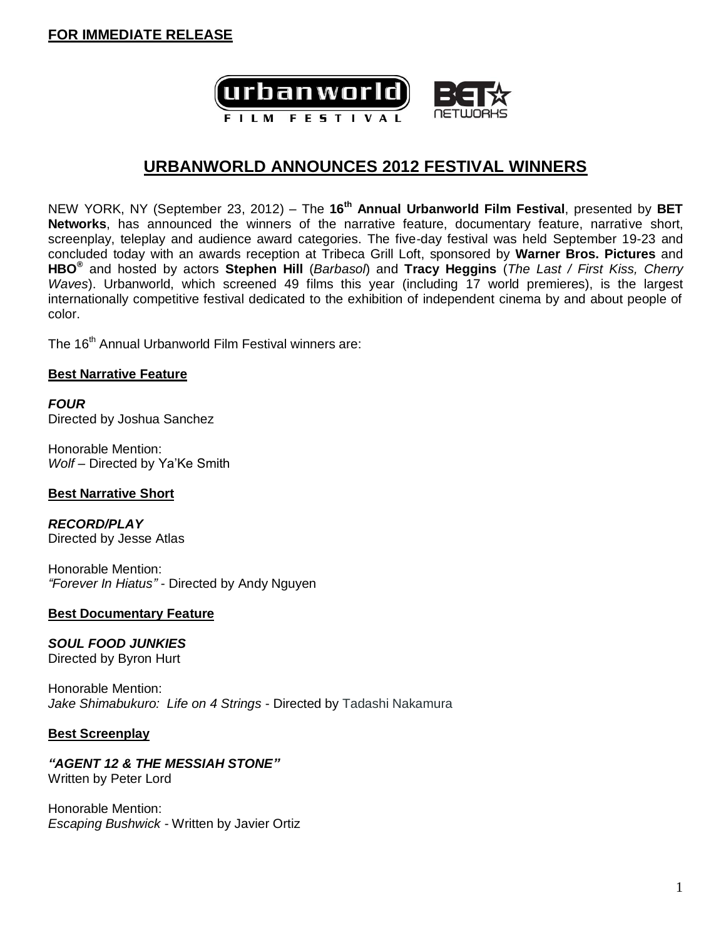

## **URBANWORLD ANNOUNCES 2012 FESTIVAL WINNERS**

NEW YORK, NY (September 23, 2012) – The **16 th Annual Urbanworld Film Festival**, presented by **BET Networks**, has announced the winners of the narrative feature, documentary feature, narrative short, screenplay, teleplay and audience award categories. The five-day festival was held September 19-23 and concluded today with an awards reception at Tribeca Grill Loft, sponsored by **Warner Bros. Pictures** and **HBO®** and hosted by actors **Stephen Hill** (*Barbasol*) and **Tracy Heggins** (*The Last / First Kiss, Cherry Waves*). Urbanworld, which screened 49 films this year (including 17 world premieres), is the largest internationally competitive festival dedicated to the exhibition of independent cinema by and about people of color.

The 16<sup>th</sup> Annual Urbanworld Film Festival winners are:

#### **Best Narrative Feature**

*FOUR* Directed by Joshua Sanchez

Honorable Mention: *Wolf* – Directed by Ya'Ke Smith

#### **Best Narrative Short**

*RECORD/PLAY* Directed by Jesse Atlas

Honorable Mention: *"Forever In Hiatus"* - Directed by Andy Nguyen

#### **Best Documentary Feature**

## *SOUL FOOD JUNKIES*

Directed by Byron Hurt

Honorable Mention: *Jake Shimabukuro: Life on 4 Strings* - Directed by Tadashi Nakamura

#### **Best Screenplay**

# *"AGENT 12 & THE MESSIAH STONE"*

Written by Peter Lord

Honorable Mention: *Escaping Bushwick* - Written by Javier Ortiz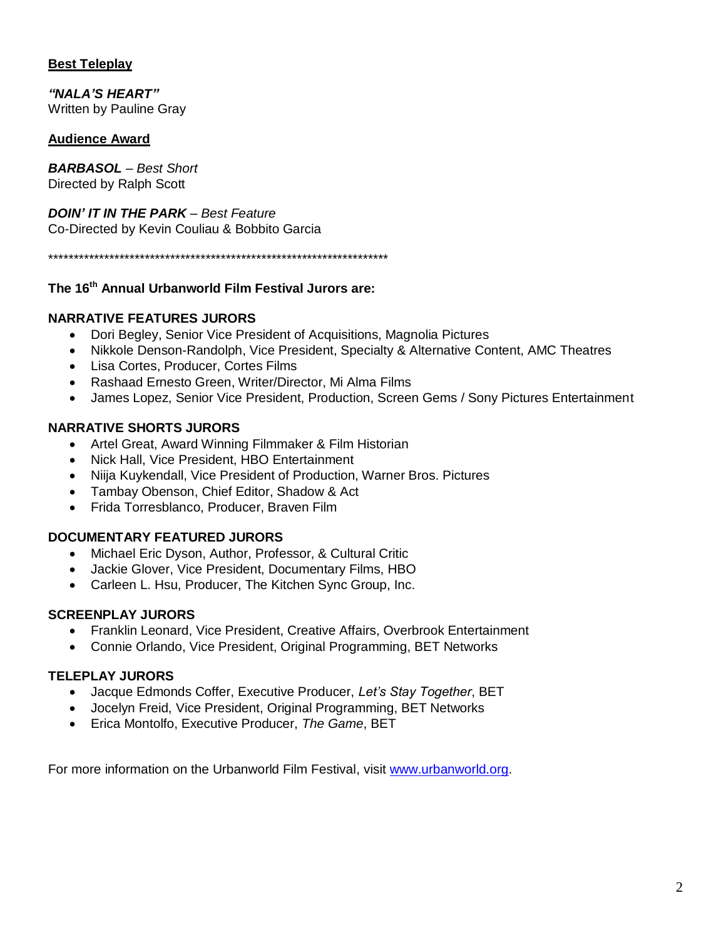## **Best Teleplay**

*"NALA'S HEART"* Written by Pauline Gray

### **Audience Award**

*BARBASOL* – *Best Short* Directed by Ralph Scott

*DOIN' IT IN THE PARK – Best Feature* Co-Directed by Kevin Couliau & Bobbito Garcia

\*\*\*\*\*\*\*\*\*\*\*\*\*\*\*\*\*\*\*\*\*\*\*\*\*\*\*\*\*\*\*\*\*\*\*\*\*\*\*\*\*\*\*\*\*\*\*\*\*\*\*\*\*\*\*\*\*\*\*\*\*\*\*\*\*\*\*

### **The 16 th Annual Urbanworld Film Festival Jurors are:**

### **NARRATIVE FEATURES JURORS**

- Dori Begley, Senior Vice President of Acquisitions, Magnolia Pictures
- Nikkole Denson-Randolph, Vice President, Specialty & Alternative Content, AMC Theatres
- Lisa Cortes, Producer, Cortes Films
- Rashaad Ernesto Green, Writer/Director, Mi Alma Films
- James Lopez, Senior Vice President, Production, Screen Gems / Sony Pictures Entertainment

#### **NARRATIVE SHORTS JURORS**

- Artel Great, Award Winning Filmmaker & Film Historian
- Nick Hall, Vice President, HBO Entertainment
- Niija Kuykendall, Vice President of Production, Warner Bros. Pictures
- Tambay Obenson, Chief Editor, Shadow & Act
- Frida Torresblanco, Producer, Braven Film

## **DOCUMENTARY FEATURED JURORS**

- Michael Eric Dyson, Author, Professor, & Cultural Critic
- Jackie Glover, Vice President, Documentary Films, HBO
- Carleen L. Hsu, Producer, The Kitchen Sync Group, Inc.

#### **SCREENPLAY JURORS**

- Franklin Leonard, Vice President, Creative Affairs, Overbrook Entertainment
- Connie Orlando, Vice President, Original Programming, BET Networks

#### **TELEPLAY JURORS**

- Jacque Edmonds Coffer, Executive Producer, *Let's Stay Together*, BET
- Jocelyn Freid, Vice President, Original Programming, BET Networks
- Erica Montolfo, Executive Producer, *The Game*, BET

For more information on the Urbanworld Film Festival, visit [www.urbanworld.org.](http://www.urbanworld.org/)